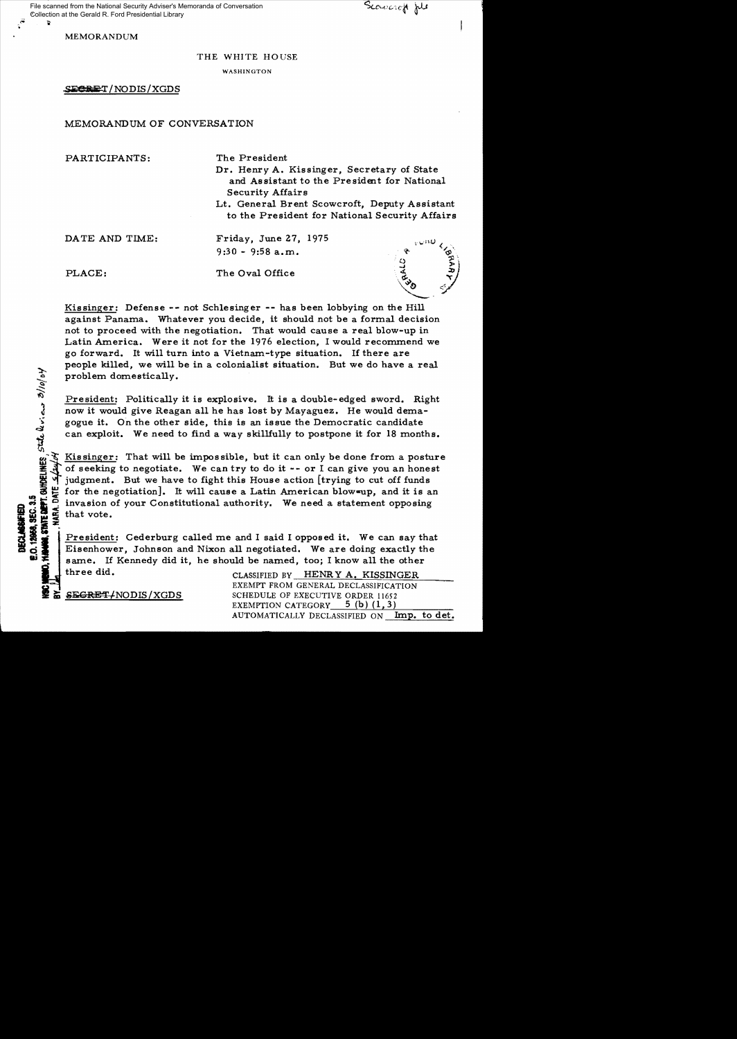MEMORANDUM

## THE WHITE HOUSE

WASHINGTON

SECRET/NODIS/XGDS

## MEMORANDUM OF CONVERSATION

PARTICIPANTS: The President

Dr. Henry A. Kissinger, Secretary of State and Assistant to the President for National Security Affairs

Lt. General Brent Scowcroft, Deputy Assistant to the President for National Security Affairs

DATE AND TIME: Friday, June 27, 1975 9:30 - 9:58 a.m.

iJ)

DECLASSIFIED<br>E.O. 12068, SEC. :<br>Hanna, Synte alfi

PLACE: The Oval Office



Kissinger: Defense -- not Schlesinger -- has been lobbying on the Hill against Panama. Whatever you decide, it should not be a formal decision not to proceed with the negotiation. That would cause a real blow-up in Latin America. Were it not for the 1976 election, I would recommend we go forward. It will turn into a Vietnam-type situation. If there are people killed, we will be in a colonialist situation. But we do have a real problem domestically.

President: Politically it is explosive. It is a double-edged sword. Right now it would give Reagan all he has lost by Mayaguez. He would demagogue it. On the other side, this is an issue the Democratic candidate can exploit. We need to find a way skillfully to postpone it for 18 months.

Kissinger: That will be impossible, but it can only be done from a posture of seeking to negotiate. We can try to do it  $--$  or I can give you an honest judgment. But we have to fight this House action [trying to cut off funds 16 Light for the negotiation]. It will cause a Latin American blow-up, and it is an  $\frac{1}{100}$  invasion of your Constitutional authority. We need a statement opposing<br>consider that vote.<br>so that vote.<br>the statement opposi invasion of your Constitutional authority. We need a statement opposing that vote.

Fresident: Cederburg called me and I said I opposed it. We can say that  $\frac{1}{2}$  Eisenhower, Johnson and Nixon all negotiated. We are doing exactly the same. If Kennedy did it he should be named too: I know all the other same. If Kennedy did it, he should be named, too; I know all the other

three did. CLASSIFIED BY HENRY A. KISSINGER EXEMPT FROM GENERAL DECLASSIFICATION SEGRET/NODIS/XGDS SCHEDULE OF EXECUTIVE ORDER 11652 EXEMPTION CATEGORY  $5$  (b) (1,3) AUTOMATICALLY DECLASSIFIED ON Imp. to det.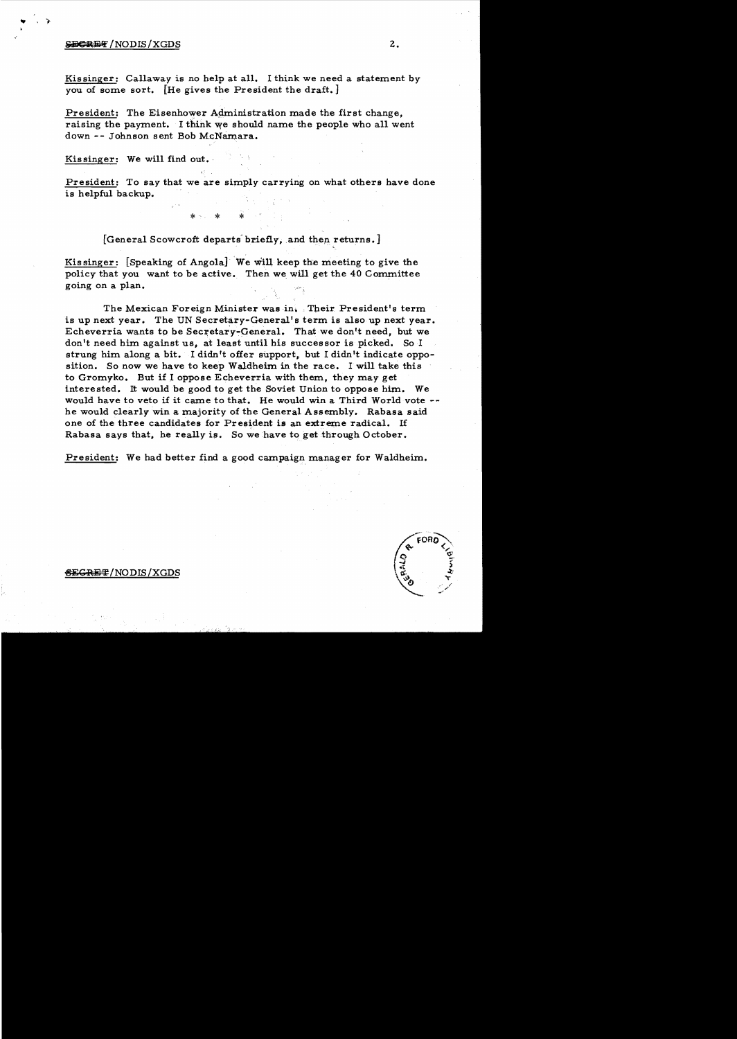## $S$ E $C$ REF /NODIS/XGDS 2.

Kissinger: Callaway is no help at all. I think we need a statement by *you* of some sort. [He gives the President the draft.]

President: The Eisenhower Administration made the first change. raising the payment. I think we should name the people who all went down -- Johnson sent Bob McNamara.

Kissinger: We will find out.

President: To say that we are simply carrying on what others have done is helpful backup.

[General Scowcroft departs briefly, and then returns.]

\* \* \* \*

Kissinger: [Speaking of Angola] We will keep the meeting to give the policy that you want to be active. Then we will get the 40 Committee going on a plan.

The Mexican Foreign Minister was in. . Their President's term is up next year. The UN Secretary-General's term is also up next year. Echeverria wants to be Secretary-General. That we don't need, but we don't need him against us, at least until his successor is picked. So I strung him along a bit. I didn't offer support, but I didn't indicate opposition. So now we have to keep Waldheim in the race. I will take this to Gromyko. But if 1 oppose Echeverria with them, they may get interested. It would be good to get the Soviet Union to oppose him. We would have to veto if it came to that. He would win a Third World vote he would clearly win a majority of the General Assembly. Rabasa said one of the three candidates for President is an extreme radical. If Rabasa says that, he really is. So we have to get through October.

President: We had better find a good campaign manager for Waldheim.

## **§E<del>GRE</del>#/NODIS/XGDS**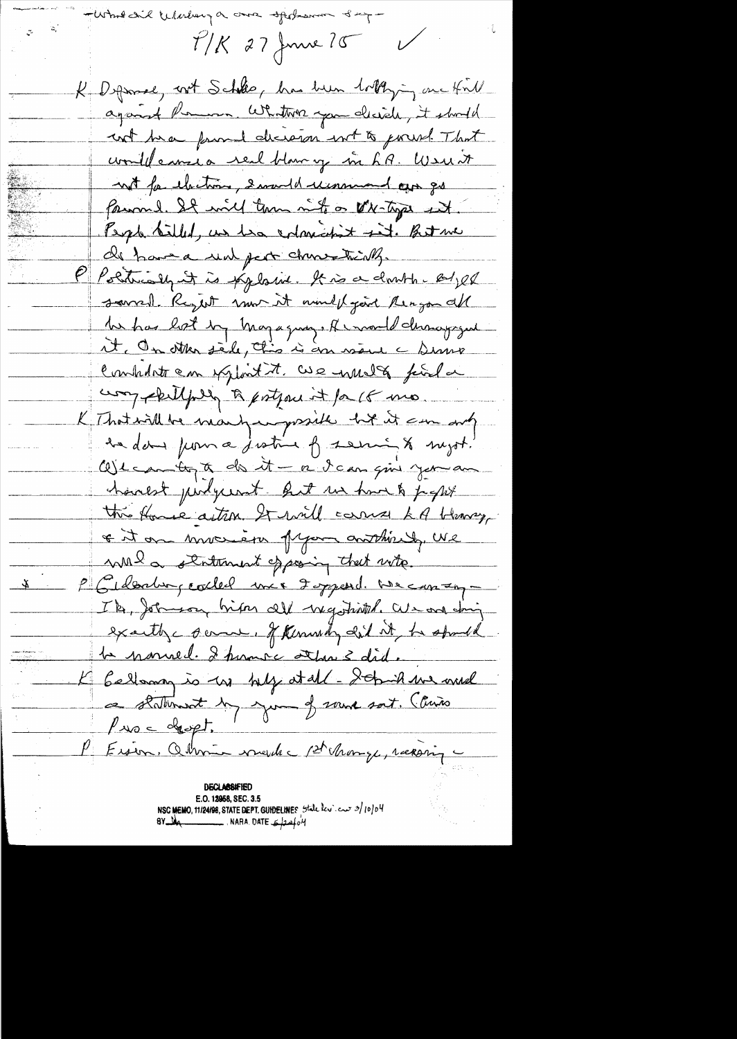- Whole did Wherebury a once of the word of up - $T/K$  27 June 75 K Deprose, not Schlee, has been lottlying one that against Perman Whatton you decide, it should cut have found decision int to gooust. That would canze a real blowing in LR. Werent not far electrons, I would recommend our go farmil. It will term into a the type it. People Silled, us has entirected til. Betwe de have a run part churchistically. P Politically it is explosive. It is a doubt. Byle saved. Reget mor it would gent Rengon all be has hot by Magagny, A wand changiged it. On otten siele, chis is an nous a senne Combitat em exploit it. We invite finla comprehensive to portjourn't for 18 mo K That will be many unpossible but it can only la da juna justice of serving to suget. We can to to do it - a dcan give you an hanest judgement. But us have to people this flower action. It will cannot kill blowing \* it on more in pyon anthiredy, we will a statement of posing that with. P Gilbabor, codel mer Ispand. We can in Ik, Johnson hiper all wegetrith. We are dring exactly come. If Kinnedy did it he should <del>la nomede d'humre attres did.</del> K Gellang is us tilt at all - Schik we will a staturant de juin 2 souve soit. Claire Proc dept. P Ersen, Obrnie made Phonge, recoving **DECLABSIFIED** E.O. 12958, SEC. 3.5 NSC MEMO, 11/24/98, STATE DEPT. GUIDELINES State leview 3/10/04